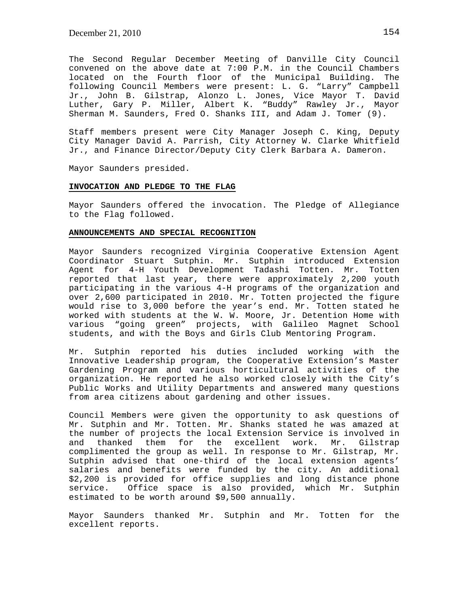The Second Regular December Meeting of Danville City Council convened on the above date at 7:00 P.M. in the Council Chambers located on the Fourth floor of the Municipal Building. The following Council Members were present: L. G. "Larry" Campbell Jr., John B. Gilstrap, Alonzo L. Jones, Vice Mayor T. David Luther, Gary P. Miller, Albert K. "Buddy" Rawley Jr., Mayor Sherman M. Saunders, Fred O. Shanks III, and Adam J. Tomer (9).

Staff members present were City Manager Joseph C. King, Deputy City Manager David A. Parrish, City Attorney W. Clarke Whitfield Jr., and Finance Director/Deputy City Clerk Barbara A. Dameron.

Mayor Saunders presided.

# **INVOCATION AND PLEDGE TO THE FLAG**

Mayor Saunders offered the invocation. The Pledge of Allegiance to the Flag followed.

#### **ANNOUNCEMENTS AND SPECIAL RECOGNITION**

Mayor Saunders recognized Virginia Cooperative Extension Agent Coordinator Stuart Sutphin. Mr. Sutphin introduced Extension Agent for 4-H Youth Development Tadashi Totten. Mr. Totten reported that last year, there were approximately 2,200 youth participating in the various 4-H programs of the organization and over 2,600 participated in 2010. Mr. Totten projected the figure would rise to 3,000 before the year's end. Mr. Totten stated he worked with students at the W. W. Moore, Jr. Detention Home with various "going green" projects, with Galileo Magnet School students, and with the Boys and Girls Club Mentoring Program.

Mr. Sutphin reported his duties included working with the Innovative Leadership program, the Cooperative Extension's Master Gardening Program and various horticultural activities of the organization. He reported he also worked closely with the City's Public Works and Utility Departments and answered many questions from area citizens about gardening and other issues.

Council Members were given the opportunity to ask questions of Mr. Sutphin and Mr. Totten. Mr. Shanks stated he was amazed at the number of projects the local Extension Service is involved in and thanked them for the excellent work. Mr. Gilstrap complimented the group as well. In response to Mr. Gilstrap, Mr. Sutphin advised that one-third of the local extension agents' salaries and benefits were funded by the city. An additional \$2,200 is provided for office supplies and long distance phone service. Office space is also provided, which Mr. Sutphin estimated to be worth around \$9,500 annually.

Mayor Saunders thanked Mr. Sutphin and Mr. Totten for the excellent reports.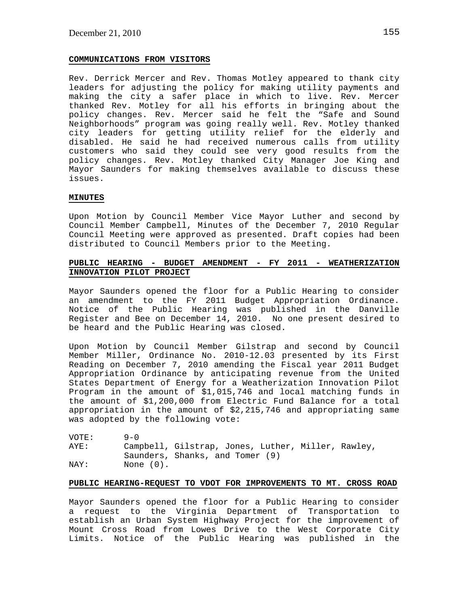### **COMMUNICATIONS FROM VISITORS**

Rev. Derrick Mercer and Rev. Thomas Motley appeared to thank city leaders for adjusting the policy for making utility payments and making the city a safer place in which to live. Rev. Mercer thanked Rev. Motley for all his efforts in bringing about the policy changes. Rev. Mercer said he felt the "Safe and Sound Neighborhoods" program was going really well. Rev. Motley thanked city leaders for getting utility relief for the elderly and disabled. He said he had received numerous calls from utility customers who said they could see very good results from the policy changes. Rev. Motley thanked City Manager Joe King and Mayor Saunders for making themselves available to discuss these issues.

#### **MINUTES**

Upon Motion by Council Member Vice Mayor Luther and second by Council Member Campbell, Minutes of the December 7, 2010 Regular Council Meeting were approved as presented. Draft copies had been distributed to Council Members prior to the Meeting.

## **PUBLIC HEARING - BUDGET AMENDMENT - FY 2011 - WEATHERIZATION INNOVATION PILOT PROJECT**

Mayor Saunders opened the floor for a Public Hearing to consider an amendment to the FY 2011 Budget Appropriation Ordinance. Notice of the Public Hearing was published in the Danville Register and Bee on December 14, 2010. No one present desired to be heard and the Public Hearing was closed.

Upon Motion by Council Member Gilstrap and second by Council Member Miller, Ordinance No. 2010-12.03 presented by its First Reading on December 7, 2010 amending the Fiscal year 2011 Budget Appropriation Ordinance by anticipating revenue from the United States Department of Energy for a Weatherization Innovation Pilot Program in the amount of \$1,015,746 and local matching funds in the amount of \$1,200,000 from Electric Fund Balance for a total appropriation in the amount of \$2,215,746 and appropriating same was adopted by the following vote:

| VOTE: | $9 - 0$                                            |  |
|-------|----------------------------------------------------|--|
| AYE:  | Campbell, Gilstrap, Jones, Luther, Miller, Rawley, |  |
|       | Saunders, Shanks, and Tomer (9)                    |  |
| NAY:  | None (0).                                          |  |

#### **PUBLIC HEARING-REQUEST TO VDOT FOR IMPROVEMENTS TO MT. CROSS ROAD**

Mayor Saunders opened the floor for a Public Hearing to consider a request to the Virginia Department of Transportation to establish an Urban System Highway Project for the improvement of Mount Cross Road from Lowes Drive to the West Corporate City Limits. Notice of the Public Hearing was published in the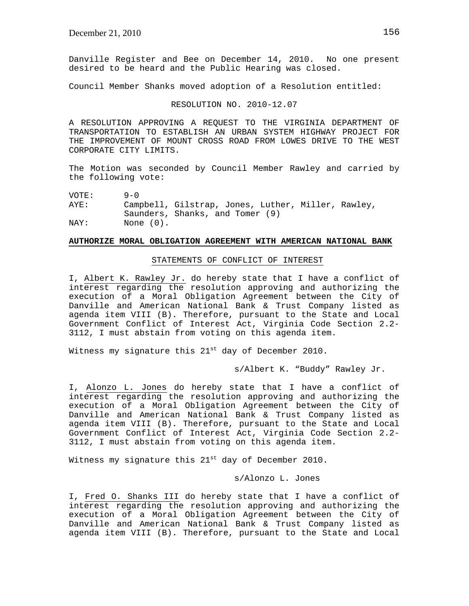Danville Register and Bee on December 14, 2010. No one present desired to be heard and the Public Hearing was closed.

Council Member Shanks moved adoption of a Resolution entitled:

#### RESOLUTION NO. 2010-12.07

A RESOLUTION APPROVING A REQUEST TO THE VIRGINIA DEPARTMENT OF TRANSPORTATION TO ESTABLISH AN URBAN SYSTEM HIGHWAY PROJECT FOR THE IMPROVEMENT OF MOUNT CROSS ROAD FROM LOWES DRIVE TO THE WEST CORPORATE CITY LIMITS.

The Motion was seconded by Council Member Rawley and carried by the following vote:

| VOTE: | $9 - 0$   |                                                    |  |
|-------|-----------|----------------------------------------------------|--|
| AYE:  |           | Campbell, Gilstrap, Jones, Luther, Miller, Rawley, |  |
|       |           | Saunders, Shanks, and Tomer (9)                    |  |
| NAY:  | None (0). |                                                    |  |

### **AUTHORIZE MORAL OBLIGATION AGREEMENT WITH AMERICAN NATIONAL BANK**

### STATEMENTS OF CONFLICT OF INTEREST

I, Albert K. Rawley Jr. do hereby state that I have a conflict of interest regarding the resolution approving and authorizing the execution of a Moral Obligation Agreement between the City of Danville and American National Bank & Trust Company listed as agenda item VIII (B). Therefore, pursuant to the State and Local Government Conflict of Interest Act, Virginia Code Section 2.2- 3112, I must abstain from voting on this agenda item.

Witness my signature this 21<sup>st</sup> day of December 2010.

s/Albert K. "Buddy" Rawley Jr.

I, Alonzo L. Jones do hereby state that I have a conflict of interest regarding the resolution approving and authorizing the execution of a Moral Obligation Agreement between the City of Danville and American National Bank & Trust Company listed as agenda item VIII (B). Therefore, pursuant to the State and Local Government Conflict of Interest Act, Virginia Code Section 2.2- 3112, I must abstain from voting on this agenda item.

Witness my signature this  $21^{st}$  day of December 2010.

s/Alonzo L. Jones

I, Fred O. Shanks III do hereby state that I have a conflict of interest regarding the resolution approving and authorizing the execution of a Moral Obligation Agreement between the City of Danville and American National Bank & Trust Company listed as agenda item VIII (B). Therefore, pursuant to the State and Local